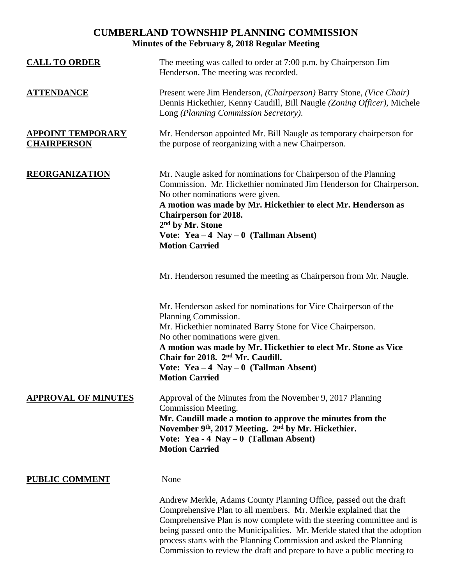## **CUMBERLAND TOWNSHIP PLANNING COMMISSION Minutes of the February 8, 2018 Regular Meeting**

| <b>CALL TO ORDER</b>                           | The meeting was called to order at 7:00 p.m. by Chairperson Jim<br>Henderson. The meeting was recorded.                                                                                                                                                                                                                                                                             |  |
|------------------------------------------------|-------------------------------------------------------------------------------------------------------------------------------------------------------------------------------------------------------------------------------------------------------------------------------------------------------------------------------------------------------------------------------------|--|
| <b>ATTENDANCE</b>                              | Present were Jim Henderson, (Chairperson) Barry Stone, (Vice Chair)<br>Dennis Hickethier, Kenny Caudill, Bill Naugle (Zoning Officer), Michele<br>Long (Planning Commission Secretary).                                                                                                                                                                                             |  |
| <b>APPOINT TEMPORARY</b><br><b>CHAIRPERSON</b> | Mr. Henderson appointed Mr. Bill Naugle as temporary chairperson for<br>the purpose of reorganizing with a new Chairperson.                                                                                                                                                                                                                                                         |  |
| <b>REORGANIZATION</b>                          | Mr. Naugle asked for nominations for Chairperson of the Planning<br>Commission. Mr. Hickethier nominated Jim Henderson for Chairperson.<br>No other nominations were given.<br>A motion was made by Mr. Hickethier to elect Mr. Henderson as<br><b>Chairperson for 2018.</b><br>2 <sup>nd</sup> by Mr. Stone<br>Vote: $Yea - 4$ Nay $- 0$ (Tallman Absent)<br><b>Motion Carried</b> |  |
|                                                | Mr. Henderson resumed the meeting as Chairperson from Mr. Naugle.                                                                                                                                                                                                                                                                                                                   |  |
|                                                | Mr. Henderson asked for nominations for Vice Chairperson of the<br>Planning Commission.<br>Mr. Hickethier nominated Barry Stone for Vice Chairperson.<br>No other nominations were given.<br>A motion was made by Mr. Hickethier to elect Mr. Stone as Vice<br>Chair for 2018. 2 <sup>nd</sup> Mr. Caudill.<br>Vote: $Yea - 4$ Nay $- 0$ (Tallman Absent)<br><b>Motion Carried</b>  |  |
| <b>APPROVAL OF MINUTES</b>                     | Approval of the Minutes from the November 9, 2017 Planning<br><b>Commission Meeting.</b><br>Mr. Caudill made a motion to approve the minutes from the<br>November 9 <sup>th</sup> , 2017 Meeting. 2 <sup>nd</sup> by Mr. Hickethier.<br>Vote: Yea - 4 Nay $-0$ (Tallman Absent)<br><b>Motion Carried</b>                                                                            |  |
| <b>PUBLIC COMMENT</b>                          | None                                                                                                                                                                                                                                                                                                                                                                                |  |
|                                                | Andrew Merkle, Adams County Planning Office, passed out the draft                                                                                                                                                                                                                                                                                                                   |  |

Andrew Merkle, Adams County Planning Office, passed out the draft Comprehensive Plan to all members. Mr. Merkle explained that the Comprehensive Plan is now complete with the steering committee and is being passed onto the Municipalities. Mr. Merkle stated that the adoption process starts with the Planning Commission and asked the Planning Commission to review the draft and prepare to have a public meeting to